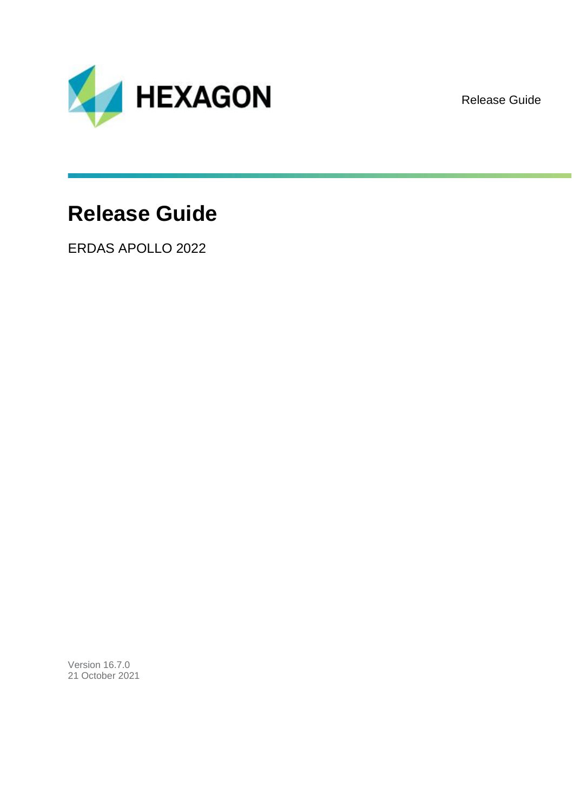

Release Guide

# **Release Guide**

ERDAS APOLLO 2022

Version 16.7.0 21 October 2021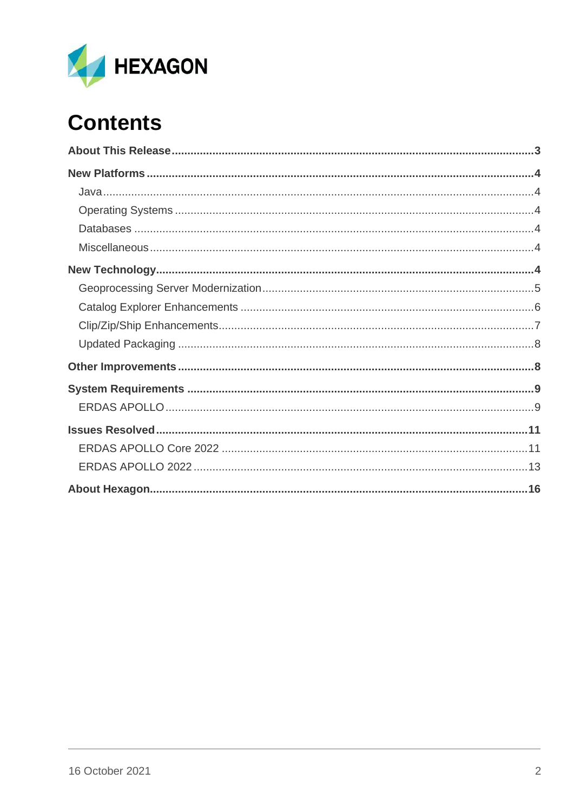

# **Contents**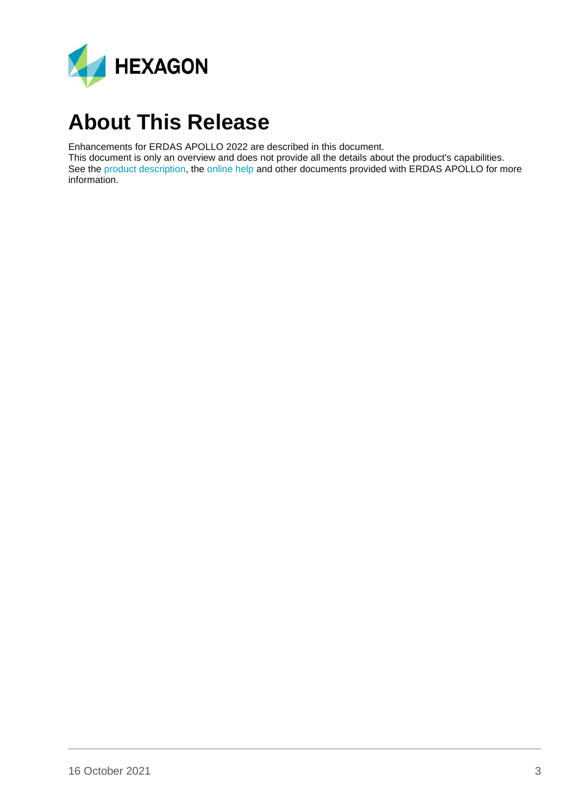

## <span id="page-2-0"></span>**About This Release**

Enhancements for ERDAS APOLLO 2022 are described in this document.

This document is only an overview and does not provide all the details about the product's capabilities. See the [product description,](https://bynder.hexagon.com/m/75e3c70f1d57bbdc/original/Hexagon_GSP_ERDAS_APOLLO_Product_description_2022.pdf) the [online help](https://hexagongeospatial.fluidtopics.net/search/all?filters=HGD_Product~%2522ERDAS+APOLLO%2522&content-lang=en-US) and other documents provided with ERDAS APOLLO for more information.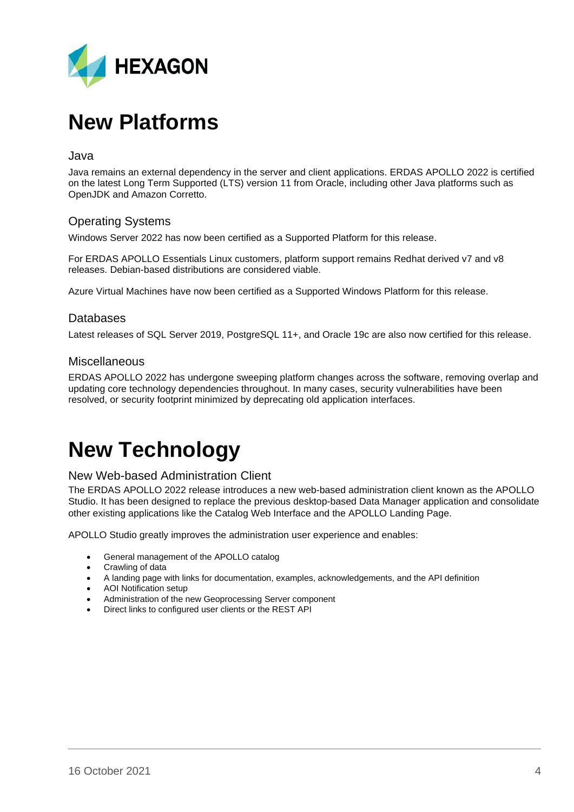

## <span id="page-3-0"></span>**New Platforms**

#### <span id="page-3-1"></span>Java

Java remains an external dependency in the server and client applications. ERDAS APOLLO 2022 is certified on the latest Long Term Supported (LTS) version 11 from Oracle, including other Java platforms such as OpenJDK and Amazon Corretto.

### <span id="page-3-2"></span>Operating Systems

Windows Server 2022 has now been certified as a Supported Platform for this release.

For ERDAS APOLLO Essentials Linux customers, platform support remains Redhat derived v7 and v8 releases. Debian-based distributions are considered viable.

Azure Virtual Machines have now been certified as a Supported Windows Platform for this release.

#### <span id="page-3-3"></span>Databases

Latest releases of SQL Server 2019, PostgreSQL 11+, and Oracle 19c are also now certified for this release.

#### <span id="page-3-4"></span>Miscellaneous

ERDAS APOLLO 2022 has undergone sweeping platform changes across the software, removing overlap and updating core technology dependencies throughout. In many cases, security vulnerabilities have been resolved, or security footprint minimized by deprecating old application interfaces.

# <span id="page-3-5"></span>**New Technology**

#### New Web-based Administration Client

The ERDAS APOLLO 2022 release introduces a new web-based administration client known as the APOLLO Studio. It has been designed to replace the previous desktop-based Data Manager application and consolidate other existing applications like the Catalog Web Interface and the APOLLO Landing Page.

APOLLO Studio greatly improves the administration user experience and enables:

- General management of the APOLLO catalog
- Crawling of data
- A landing page with links for documentation, examples, acknowledgements, and the API definition
- AOI Notification setup
- Administration of the new Geoprocessing Server component
- Direct links to configured user clients or the REST API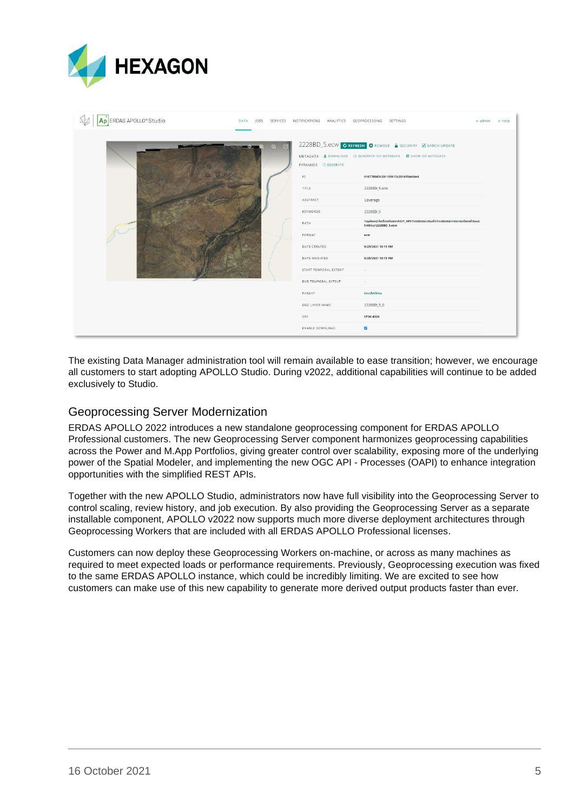

| Ap ERDAS APOLLO® Studio |  |               |                                         | DATA JOBS SERVICES NOTIFICATIONS ANALYTICS GEOPROCESSING SETTINGS                                                                                                       | $\vee$ admin $\vee$ Help |  |
|-------------------------|--|---------------|-----------------------------------------|-------------------------------------------------------------------------------------------------------------------------------------------------------------------------|--------------------------|--|
| <b>COM</b>              |  | 囨<br>$\Theta$ | PYRAMIDS LO GENERATE<br>10 <sup>1</sup> | 2228BD_5.ecw CREFRESH CREMOVE A SECURITY Z BATCH UPDATE<br>METADATA & DOWNLOAD LO GENERATE ISO METADATA <b>IN</b> SHOW ISO METADATA<br>010778b87c201185017c20161f4e04e4 |                          |  |
|                         |  |               | TITLE                                   | 2228BD_5.ecw                                                                                                                                                            |                          |  |
|                         |  |               | ABSTRACT                                | Coverage                                                                                                                                                                |                          |  |
|                         |  |               | <b>KEYWORDS</b>                         | 2228BD_5                                                                                                                                                                |                          |  |
|                         |  |               | PATH                                    | \\qabox2\heliosshare\REST_API\TestData\StudioTestData\International\Sout<br>hAfrica\2228BD_5.ecw                                                                        |                          |  |
| A Connector             |  |               | FORMAT                                  | ecw                                                                                                                                                                     |                          |  |
|                         |  | DATE CREATED  | 9/25/2021 10:11 PM                      |                                                                                                                                                                         |                          |  |
|                         |  | DATE MODIFIED | 9/25/2021 10:11 PM                      |                                                                                                                                                                         |                          |  |
|                         |  |               | START TEMPORAL EXTENT                   | $\sim$                                                                                                                                                                  |                          |  |
|                         |  |               | END TEMPORAL EXTENT                     | in 1                                                                                                                                                                    |                          |  |
|                         |  |               | PARENT                                  | SouthAfrica                                                                                                                                                             |                          |  |
|                         |  |               | OGC LAYER NAME                          | 2228BD_5_0                                                                                                                                                              |                          |  |
|                         |  |               | SRS                                     | EPSG:4326                                                                                                                                                               |                          |  |
|                         |  |               | ENABLE DOWNLOAD                         | $\overline{a}$                                                                                                                                                          |                          |  |

The existing Data Manager administration tool will remain available to ease transition; however, we encourage all customers to start adopting APOLLO Studio. During v2022, additional capabilities will continue to be added exclusively to Studio.

### <span id="page-4-0"></span>Geoprocessing Server Modernization

ERDAS APOLLO 2022 introduces a new standalone geoprocessing component for ERDAS APOLLO Professional customers. The new Geoprocessing Server component harmonizes geoprocessing capabilities across the Power and M.App Portfolios, giving greater control over scalability, exposing more of the underlying power of the Spatial Modeler, and implementing the new OGC API - Processes (OAPI) to enhance integration opportunities with the simplified REST APIs.

Together with the new APOLLO Studio, administrators now have full visibility into the Geoprocessing Server to control scaling, review history, and job execution. By also providing the Geoprocessing Server as a separate installable component, APOLLO v2022 now supports much more diverse deployment architectures through Geoprocessing Workers that are included with all ERDAS APOLLO Professional licenses.

Customers can now deploy these Geoprocessing Workers on-machine, or across as many machines as required to meet expected loads or performance requirements. Previously, Geoprocessing execution was fixed to the same ERDAS APOLLO instance, which could be incredibly limiting. We are excited to see how customers can make use of this new capability to generate more derived output products faster than ever.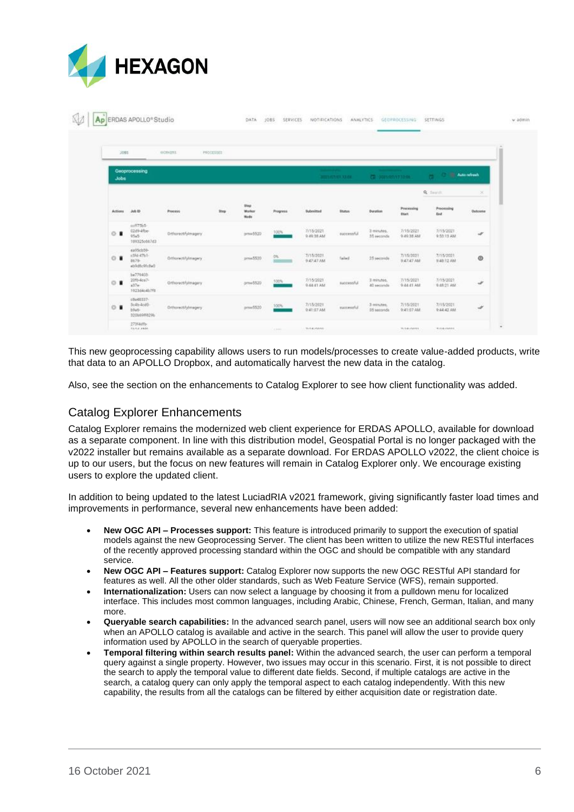

|                           |                                                   | OORGRI              | PROCESSES:   |                        |                 |                                                                     |                                |                                                             |                                |                                     |                    |
|---------------------------|---------------------------------------------------|---------------------|--------------|------------------------|-----------------|---------------------------------------------------------------------|--------------------------------|-------------------------------------------------------------|--------------------------------|-------------------------------------|--------------------|
| <b>Jobs</b>               | Geoprocessing                                     |                     |              |                        |                 | <b>Summer Print</b>                                                 | <b>JULY AVENUE AS CA.</b>      | <b>Chairman and Care</b><br><b>CD</b> : post-ret/y7.12-ps : |                                | <b>College College Automobile</b>   |                    |
|                           |                                                   |                     |              |                        |                 |                                                                     |                                |                                                             |                                | <b>Q</b> Seath                      | ×                  |
| <b>CALLER</b><br>Artieres | Jub 1D                                            | Process             | $_{\rm Sup}$ | Step<br>Marker<br>Hode | <b>Progress</b> | Submitted<br>32500 M                                                | <b>Status</b>                  | <b>Duration</b><br>53.TC/                                   | Procursing<br><b>Black</b>     | Processing<br><b>Drift</b>          | Outcorne<br>XXX 96 |
| $O$ $\blacksquare$        | sulf7565-<br>1249-4fbe-<br>0545<br>109325c00763   | Drhorectrylmagery   |              | pmw5520                | 100%            | <b>CONSTRUCT</b><br>7/15/2021<br>0.49.38 AM<br>572500               | successful                     | 3 minutes.<br>35 seconds                                    | 7/15/2021<br>9-89-38 AM<br>anv | 7/15/2021<br>9:55:13 AM<br>---      | v                  |
| $O$ $\blacksquare$        | 4a95cb50-<br>x354.47%1-<br>E679-<br>ablicklichall | Orthorwolfsfrmegery |              | press \$520            | OK:             | <b>All Concerts</b><br>7/15/2021<br>9:47:47 AM<br><b>STATISTICS</b> | Telled                         | 15 seconds                                                  | 7/15/2021<br>9:47:47 AM        | 7/15/2021<br>9.48.12 AM<br>Ann Said | $\circ$            |
| $O$ .                     | 1.770403<br>20f6-4ce7-<br>$137 -$<br>102354c4b7f8 | Orthoractifylmagery |              | 37.23<br>arnw\$520     | 100%            | 7/15/2021<br>0.64.61 AM                                             | successful                     | 3 minutes.<br>40 seconds                                    | 7/15/2021<br>9-84-81 AM        | 7/15/2021<br>0.48.21 AM             | ¥                  |
| $O$ $\blacksquare$        | EB648337-<br>Solb-fold-<br>$b0ab -$               | Drivewoblytmagery   |              | pmw5520                | 100%            | 7/15/2021<br>9:41:07.AM                                             | motestiful<br><b>Robert Co</b> | 3 minutes.<br>35 seconds                                    | 7/15/2021<br>0:41:02 AM        | 7/15/2021<br>0.44.42.000            | $\mathscr{A}$      |

This new geoprocessing capability allows users to run models/processes to create value-added products, write that data to an APOLLO Dropbox, and automatically harvest the new data in the catalog.

Also, see the section on the enhancements to Catalog Explorer to see how client functionality was added.

### <span id="page-5-0"></span>Catalog Explorer Enhancements

Catalog Explorer remains the modernized web client experience for ERDAS APOLLO, available for download as a separate component. In line with this distribution model, Geospatial Portal is no longer packaged with the v2022 installer but remains available as a separate download. For ERDAS APOLLO v2022, the client choice is up to our users, but the focus on new features will remain in Catalog Explorer only. We encourage existing users to explore the updated client.

In addition to being updated to the latest LuciadRIA v2021 framework, giving significantly faster load times and improvements in performance, several new enhancements have been added:

- **New OGC API – Processes support:** This feature is introduced primarily to support the execution of spatial models against the new Geoprocessing Server. The client has been written to utilize the new RESTful interfaces of the recently approved processing standard within the OGC and should be compatible with any standard service.
- **New OGC API – Features support:** Catalog Explorer now supports the new OGC RESTful API standard for features as well. All the other older standards, such as Web Feature Service (WFS), remain supported.
- **Internationalization:** Users can now select a language by choosing it from a pulldown menu for localized interface. This includes most common languages, including Arabic, Chinese, French, German, Italian, and many more.
- **Queryable search capabilities:** In the advanced search panel, users will now see an additional search box only when an APOLLO catalog is available and active in the search. This panel will allow the user to provide query information used by APOLLO in the search of queryable properties.
- **Temporal filtering within search results panel:** Within the advanced search, the user can perform a temporal query against a single property. However, two issues may occur in this scenario. First, it is not possible to direct the search to apply the temporal value to different date fields. Second, if multiple catalogs are active in the search, a catalog query can only apply the temporal aspect to each catalog independently. With this new capability, the results from all the catalogs can be filtered by either acquisition date or registration date.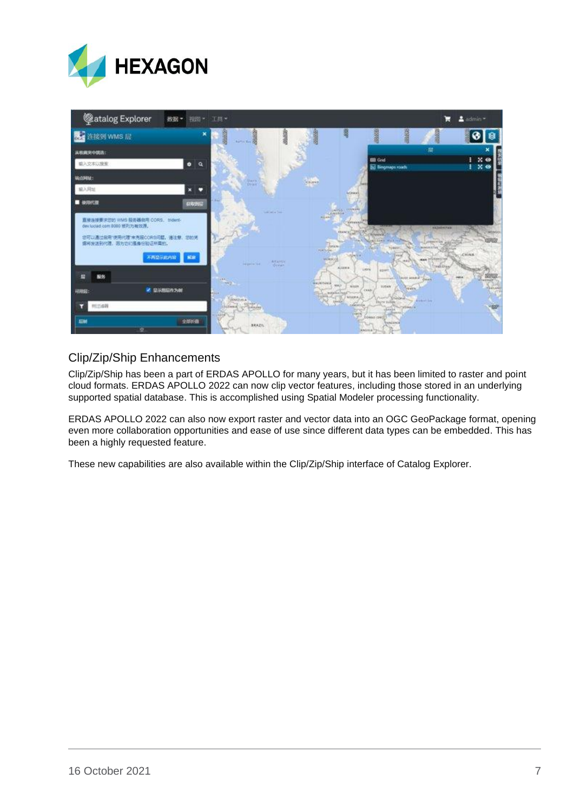



### <span id="page-6-0"></span>Clip/Zip/Ship Enhancements

Clip/Zip/Ship has been a part of ERDAS APOLLO for many years, but it has been limited to raster and point cloud formats. ERDAS APOLLO 2022 can now clip vector features, including those stored in an underlying supported spatial database. This is accomplished using Spatial Modeler processing functionality.

ERDAS APOLLO 2022 can also now export raster and vector data into an OGC GeoPackage format, opening even more collaboration opportunities and ease of use since different data types can be embedded. This has been a highly requested feature.

These new capabilities are also available within the Clip/Zip/Ship interface of Catalog Explorer.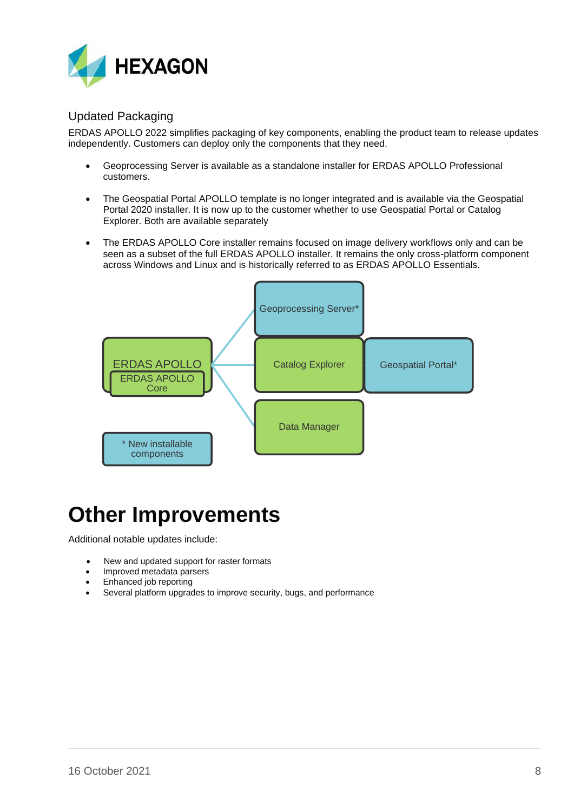

### <span id="page-7-0"></span>Updated Packaging

ERDAS APOLLO 2022 simplifies packaging of key components, enabling the product team to release updates independently. Customers can deploy only the components that they need.

- Geoprocessing Server is available as a standalone installer for ERDAS APOLLO Professional customers.
- The Geospatial Portal APOLLO template is no longer integrated and is available via the Geospatial Portal 2020 installer. It is now up to the customer whether to use Geospatial Portal or Catalog Explorer. Both are available separately
- The ERDAS APOLLO Core installer remains focused on image delivery workflows only and can be seen as a subset of the full ERDAS APOLLO installer. It remains the only cross-platform component across Windows and Linux and is historically referred to as ERDAS APOLLO Essentials.



## <span id="page-7-1"></span>**Other Improvements**

Additional notable updates include:

- New and updated support for raster formats
- Improved metadata parsers
- Enhanced job reporting
- Several platform upgrades to improve security, bugs, and performance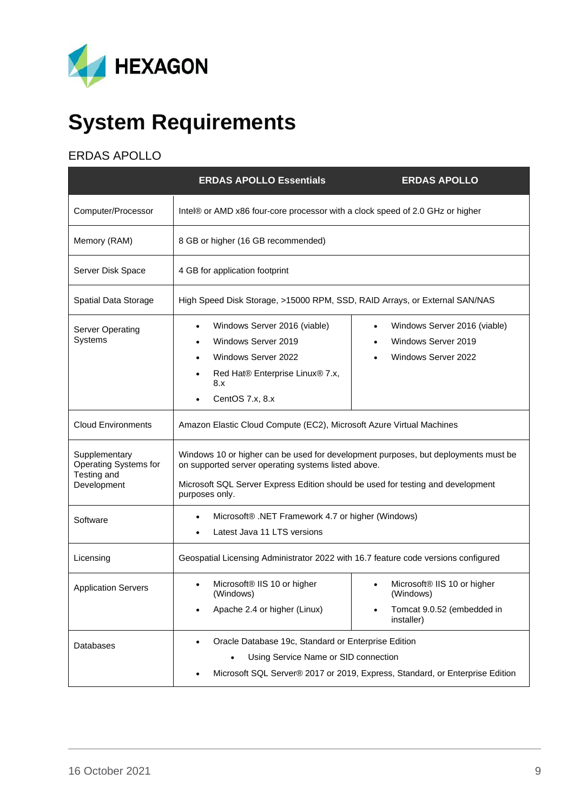

# <span id="page-8-0"></span>**System Requirements**

### <span id="page-8-1"></span>ERDAS APOLLO

|                                                                      | <b>ERDAS APOLLO Essentials</b>                                                                                                                                                                                                                 | <b>ERDAS APOLLO</b>                                                                              |  |  |  |  |
|----------------------------------------------------------------------|------------------------------------------------------------------------------------------------------------------------------------------------------------------------------------------------------------------------------------------------|--------------------------------------------------------------------------------------------------|--|--|--|--|
| Computer/Processor                                                   | Intel® or AMD x86 four-core processor with a clock speed of 2.0 GHz or higher                                                                                                                                                                  |                                                                                                  |  |  |  |  |
| Memory (RAM)                                                         | 8 GB or higher (16 GB recommended)                                                                                                                                                                                                             |                                                                                                  |  |  |  |  |
| Server Disk Space                                                    | 4 GB for application footprint                                                                                                                                                                                                                 |                                                                                                  |  |  |  |  |
| Spatial Data Storage                                                 | High Speed Disk Storage, >15000 RPM, SSD, RAID Arrays, or External SAN/NAS                                                                                                                                                                     |                                                                                                  |  |  |  |  |
| <b>Server Operating</b><br>Systems                                   | Windows Server 2016 (viable)<br>٠<br>Windows Server 2019<br>Windows Server 2022<br>$\bullet$<br>Red Hat® Enterprise Linux® 7.x,<br>٠<br>8.x<br>CentOS 7.x, 8.x                                                                                 | Windows Server 2016 (viable)<br>٠<br>Windows Server 2019<br>Windows Server 2022                  |  |  |  |  |
| <b>Cloud Environments</b>                                            | Amazon Elastic Cloud Compute (EC2), Microsoft Azure Virtual Machines                                                                                                                                                                           |                                                                                                  |  |  |  |  |
| Supplementary<br>Operating Systems for<br>Testing and<br>Development | Windows 10 or higher can be used for development purposes, but deployments must be<br>on supported server operating systems listed above.<br>Microsoft SQL Server Express Edition should be used for testing and development<br>purposes only. |                                                                                                  |  |  |  |  |
| Software                                                             | Microsoft® .NET Framework 4.7 or higher (Windows)<br>٠<br>Latest Java 11 LTS versions                                                                                                                                                          |                                                                                                  |  |  |  |  |
| Licensing                                                            | Geospatial Licensing Administrator 2022 with 16.7 feature code versions configured                                                                                                                                                             |                                                                                                  |  |  |  |  |
| <b>Application Servers</b>                                           | Microsoft <sup>®</sup> IIS 10 or higher<br>(Windows)<br>Apache 2.4 or higher (Linux)                                                                                                                                                           | Microsoft <sup>®</sup> IIS 10 or higher<br>(Windows)<br>Tomcat 9.0.52 (embedded in<br>installer) |  |  |  |  |
| Databases                                                            | Oracle Database 19c, Standard or Enterprise Edition<br>Using Service Name or SID connection                                                                                                                                                    | Microsoft SQL Server® 2017 or 2019, Express, Standard, or Enterprise Edition                     |  |  |  |  |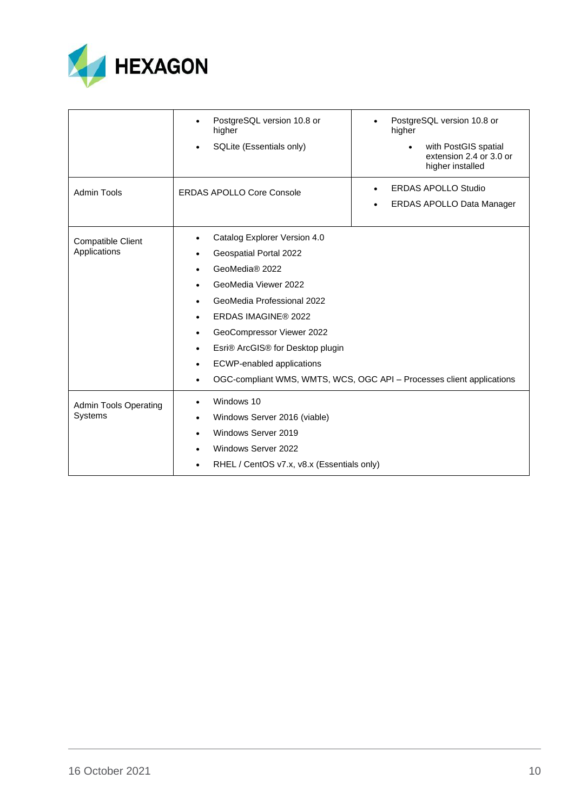

|                                                | PostgreSQL version 10.8 or<br>higher<br>SQLite (Essentials only)                                                                                                                                                                                                                                                                     | PostgreSQL version 10.8 or<br>higher<br>with PostGIS spatial<br>$\bullet$<br>extension 2.4 or 3.0 or<br>higher installed |
|------------------------------------------------|--------------------------------------------------------------------------------------------------------------------------------------------------------------------------------------------------------------------------------------------------------------------------------------------------------------------------------------|--------------------------------------------------------------------------------------------------------------------------|
| <b>Admin Tools</b>                             | <b>ERDAS APOLLO Core Console</b>                                                                                                                                                                                                                                                                                                     | <b>ERDAS APOLLO Studio</b><br>ERDAS APOLLO Data Manager                                                                  |
| <b>Compatible Client</b><br>Applications       | Catalog Explorer Version 4.0<br>٠<br>Geospatial Portal 2022<br>٠<br>GeoMedia® 2022<br>$\bullet$<br>GeoMedia Viewer 2022<br>$\bullet$<br>GeoMedia Professional 2022<br>٠<br>ERDAS IMAGINE® 2022<br>٠<br>GeoCompressor Viewer 2022<br>٠<br>Esri® ArcGIS® for Desktop plugin<br>٠<br><b>ECWP-enabled applications</b><br>٠<br>$\bullet$ | OGC-compliant WMS, WMTS, WCS, OGC API - Processes client applications                                                    |
| <b>Admin Tools Operating</b><br><b>Systems</b> | Windows 10<br>$\bullet$<br>Windows Server 2016 (viable)<br>٠<br>Windows Server 2019<br>٠<br>Windows Server 2022<br>$\bullet$<br>RHEL / CentOS v7.x, v8.x (Essentials only)<br>٠                                                                                                                                                      |                                                                                                                          |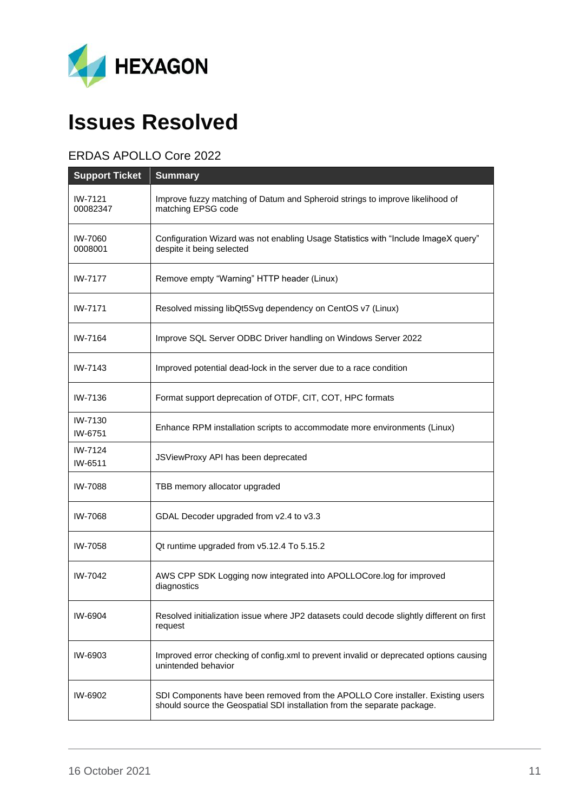

# <span id="page-10-0"></span>**Issues Resolved**

### <span id="page-10-1"></span>ERDAS APOLLO Core 2022

| <b>Support Ticket</b> | <b>Summary</b>                                                                                                                                              |
|-----------------------|-------------------------------------------------------------------------------------------------------------------------------------------------------------|
| IW-7121<br>00082347   | Improve fuzzy matching of Datum and Spheroid strings to improve likelihood of<br>matching EPSG code                                                         |
| IW-7060<br>0008001    | Configuration Wizard was not enabling Usage Statistics with "Include ImageX query"<br>despite it being selected                                             |
| IW-7177               | Remove empty "Warning" HTTP header (Linux)                                                                                                                  |
| IW-7171               | Resolved missing libQt5Svg dependency on CentOS v7 (Linux)                                                                                                  |
| IW-7164               | Improve SQL Server ODBC Driver handling on Windows Server 2022                                                                                              |
| IW-7143               | Improved potential dead-lock in the server due to a race condition                                                                                          |
| IW-7136               | Format support deprecation of OTDF, CIT, COT, HPC formats                                                                                                   |
| IW-7130<br>IW-6751    | Enhance RPM installation scripts to accommodate more environments (Linux)                                                                                   |
| IW-7124<br>IW-6511    | JSViewProxy API has been deprecated                                                                                                                         |
| IW-7088               | TBB memory allocator upgraded                                                                                                                               |
| IW-7068               | GDAL Decoder upgraded from v2.4 to v3.3                                                                                                                     |
| IW-7058               | Qt runtime upgraded from v5.12.4 To 5.15.2                                                                                                                  |
| IW-7042               | AWS CPP SDK Logging now integrated into APOLLOCore.log for improved<br>diagnostics                                                                          |
| IW-6904               | Resolved initialization issue where JP2 datasets could decode slightly different on first<br>request                                                        |
| IW-6903               | Improved error checking of config.xml to prevent invalid or deprecated options causing<br>unintended behavior                                               |
| IW-6902               | SDI Components have been removed from the APOLLO Core installer. Existing users<br>should source the Geospatial SDI installation from the separate package. |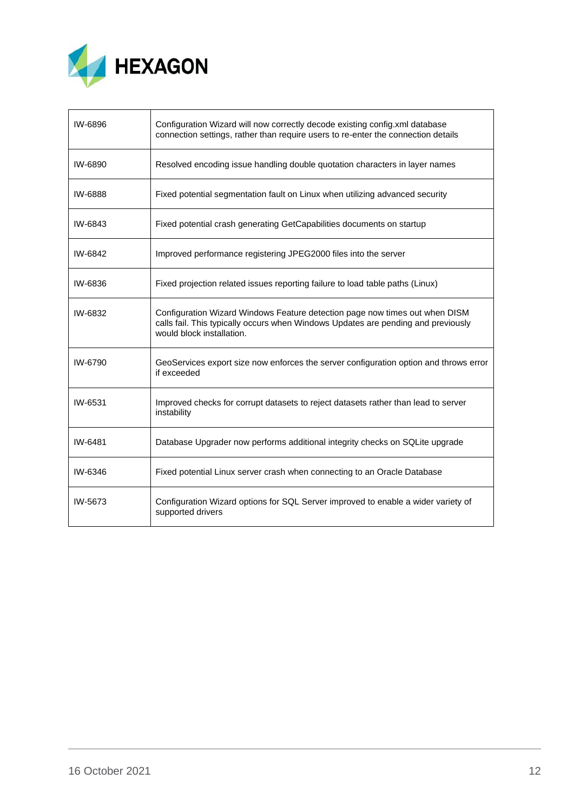

<span id="page-11-0"></span>

| IW-6896 | Configuration Wizard will now correctly decode existing config.xml database<br>connection settings, rather than require users to re-enter the connection details                              |
|---------|-----------------------------------------------------------------------------------------------------------------------------------------------------------------------------------------------|
| IW-6890 | Resolved encoding issue handling double quotation characters in layer names                                                                                                                   |
| IW-6888 | Fixed potential segmentation fault on Linux when utilizing advanced security                                                                                                                  |
| IW-6843 | Fixed potential crash generating GetCapabilities documents on startup                                                                                                                         |
| IW-6842 | Improved performance registering JPEG2000 files into the server                                                                                                                               |
| IW-6836 | Fixed projection related issues reporting failure to load table paths (Linux)                                                                                                                 |
| IW-6832 | Configuration Wizard Windows Feature detection page now times out when DISM<br>calls fail. This typically occurs when Windows Updates are pending and previously<br>would block installation. |
| IW-6790 | GeoServices export size now enforces the server configuration option and throws error<br>if exceeded                                                                                          |
| IW-6531 | Improved checks for corrupt datasets to reject datasets rather than lead to server<br>instability                                                                                             |
| IW-6481 | Database Upgrader now performs additional integrity checks on SQLite upgrade                                                                                                                  |
| IW-6346 | Fixed potential Linux server crash when connecting to an Oracle Database                                                                                                                      |
| IW-5673 | Configuration Wizard options for SQL Server improved to enable a wider variety of<br>supported drivers                                                                                        |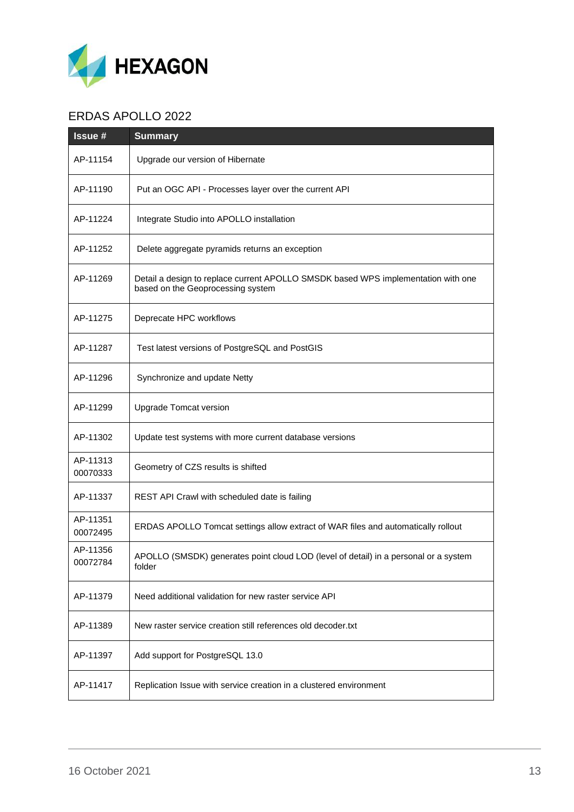

## ERDAS APOLLO 2022

| <b>Issue#</b>        | <b>Summary</b>                                                                                                         |
|----------------------|------------------------------------------------------------------------------------------------------------------------|
| AP-11154             | Upgrade our version of Hibernate                                                                                       |
| AP-11190             | Put an OGC API - Processes layer over the current API                                                                  |
| AP-11224             | Integrate Studio into APOLLO installation                                                                              |
| AP-11252             | Delete aggregate pyramids returns an exception                                                                         |
| AP-11269             | Detail a design to replace current APOLLO SMSDK based WPS implementation with one<br>based on the Geoprocessing system |
| AP-11275             | Deprecate HPC workflows                                                                                                |
| AP-11287             | Test latest versions of PostgreSQL and PostGIS                                                                         |
| AP-11296             | Synchronize and update Netty                                                                                           |
| AP-11299             | <b>Upgrade Tomcat version</b>                                                                                          |
| AP-11302             | Update test systems with more current database versions                                                                |
| AP-11313<br>00070333 | Geometry of CZS results is shifted                                                                                     |
| AP-11337             | REST API Crawl with scheduled date is failing                                                                          |
| AP-11351<br>00072495 | ERDAS APOLLO Tomcat settings allow extract of WAR files and automatically rollout                                      |
| AP-11356<br>00072784 | APOLLO (SMSDK) generates point cloud LOD (level of detail) in a personal or a system<br>folder                         |
| AP-11379             | Need additional validation for new raster service API                                                                  |
| AP-11389             | New raster service creation still references old decoder.txt                                                           |
| AP-11397             | Add support for PostgreSQL 13.0                                                                                        |
| AP-11417             | Replication Issue with service creation in a clustered environment                                                     |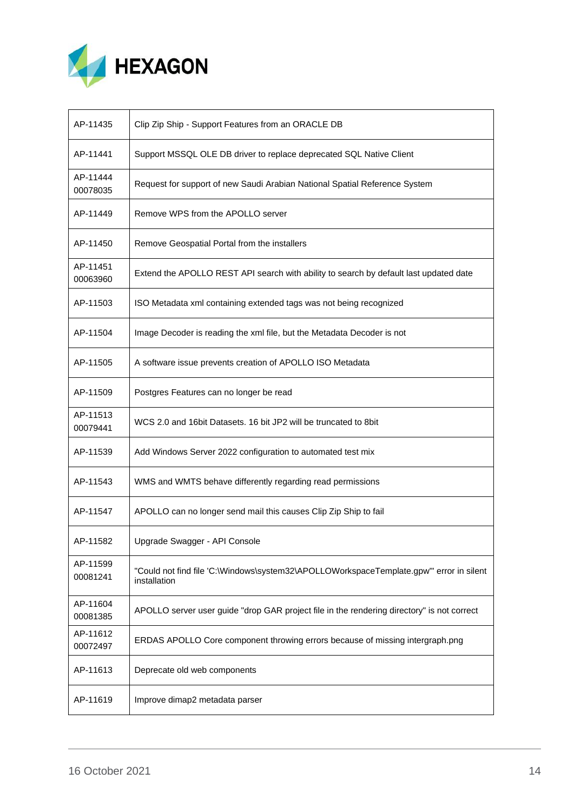

| AP-11435             | Clip Zip Ship - Support Features from an ORACLE DB                                                     |
|----------------------|--------------------------------------------------------------------------------------------------------|
| AP-11441             | Support MSSQL OLE DB driver to replace deprecated SQL Native Client                                    |
| AP-11444<br>00078035 | Request for support of new Saudi Arabian National Spatial Reference System                             |
| AP-11449             | Remove WPS from the APOLLO server                                                                      |
| AP-11450             | Remove Geospatial Portal from the installers                                                           |
| AP-11451<br>00063960 | Extend the APOLLO REST API search with ability to search by default last updated date                  |
| AP-11503             | ISO Metadata xml containing extended tags was not being recognized                                     |
| AP-11504             | Image Decoder is reading the xml file, but the Metadata Decoder is not                                 |
| AP-11505             | A software issue prevents creation of APOLLO ISO Metadata                                              |
| AP-11509             | Postgres Features can no longer be read                                                                |
| AP-11513<br>00079441 | WCS 2.0 and 16 bit Datasets. 16 bit JP2 will be truncated to 8 bit                                     |
| AP-11539             | Add Windows Server 2022 configuration to automated test mix                                            |
| AP-11543             | WMS and WMTS behave differently regarding read permissions                                             |
| AP-11547             | APOLLO can no longer send mail this causes Clip Zip Ship to fail                                       |
| AP-11582             | Upgrade Swagger - API Console                                                                          |
| AP-11599<br>00081241 | "Could not find file 'C:\Windows\system32\APOLLOWorkspaceTemplate.gpw" error in silent<br>installation |
| AP-11604<br>00081385 | APOLLO server user guide "drop GAR project file in the rendering directory" is not correct             |
| AP-11612<br>00072497 | ERDAS APOLLO Core component throwing errors because of missing intergraph.png                          |
| AP-11613             | Deprecate old web components                                                                           |
| AP-11619             | Improve dimap2 metadata parser                                                                         |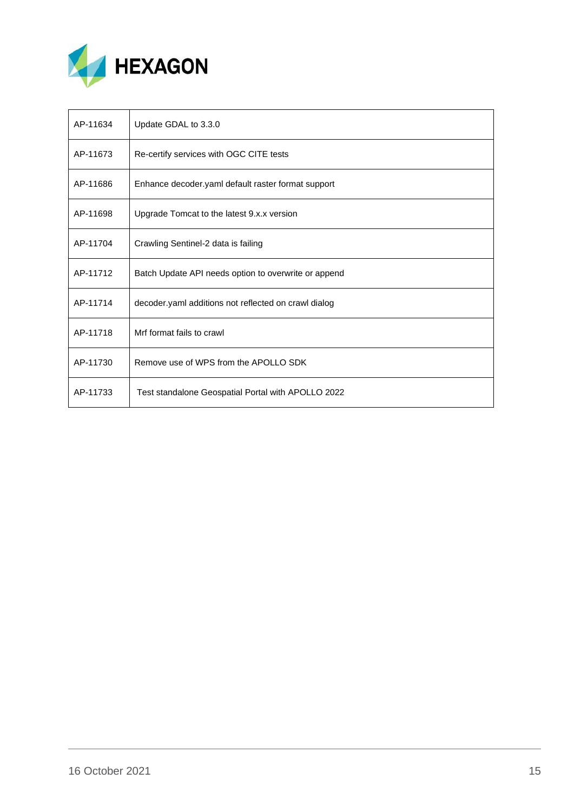

| AP-11634 | Update GDAL to 3.3.0                                 |
|----------|------------------------------------------------------|
| AP-11673 | Re-certify services with OGC CITE tests              |
| AP-11686 | Enhance decoder.yaml default raster format support   |
| AP-11698 | Upgrade Tomcat to the latest 9.x.x version           |
| AP-11704 | Crawling Sentinel-2 data is failing                  |
| AP-11712 | Batch Update API needs option to overwrite or append |
| AP-11714 | decoder yaml additions not reflected on crawl dialog |
| AP-11718 | Mrf format fails to crawl                            |
| AP-11730 | Remove use of WPS from the APOLLO SDK                |
| AP-11733 | Test standalone Geospatial Portal with APOLLO 2022   |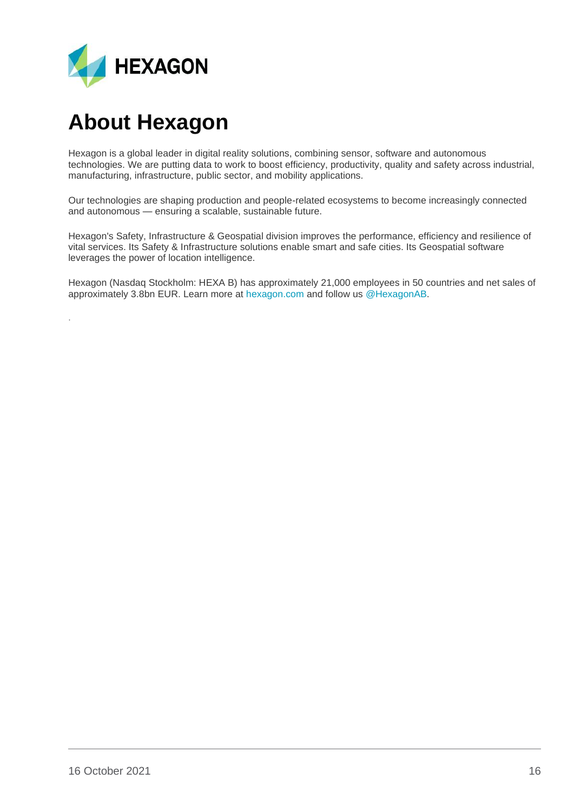

## <span id="page-15-0"></span>**About Hexagon**

.

Hexagon is a global leader in digital reality solutions, combining sensor, software and autonomous technologies. We are putting data to work to boost efficiency, productivity, quality and safety across industrial, manufacturing, infrastructure, public sector, and mobility applications.

Our technologies are shaping production and people-related ecosystems to become increasingly connected and autonomous — ensuring a scalable, sustainable future.

Hexagon's Safety, Infrastructure & Geospatial division improves the performance, efficiency and resilience of vital services. Its Safety & Infrastructure solutions enable smart and safe cities. Its Geospatial software leverages the power of location intelligence.

Hexagon (Nasdaq Stockholm: HEXA B) has approximately 21,000 employees in 50 countries and net sales of approximately 3.8bn EUR. Learn more at [hexagon.com](https://hexagon.com/) and follow us [@HexagonAB.](https://twitter.com/hexagonab)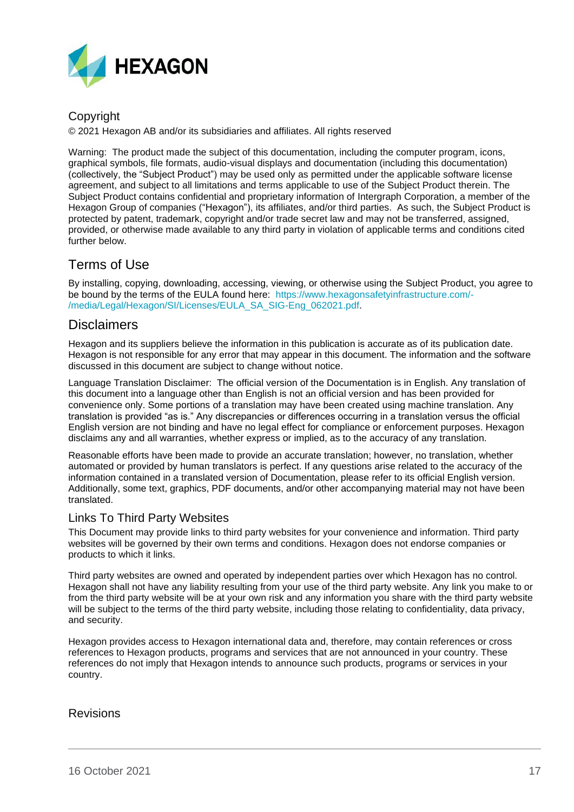

### Copyright

© 2021 Hexagon AB and/or its subsidiaries and affiliates. All rights reserved

Warning: The product made the subject of this documentation, including the computer program, icons, graphical symbols, file formats, audio-visual displays and documentation (including this documentation) (collectively, the "Subject Product") may be used only as permitted under the applicable software license agreement, and subject to all limitations and terms applicable to use of the Subject Product therein. The Subject Product contains confidential and proprietary information of Intergraph Corporation, a member of the Hexagon Group of companies ("Hexagon"), its affiliates, and/or third parties. As such, the Subject Product is protected by patent, trademark, copyright and/or trade secret law and may not be transferred, assigned, provided, or otherwise made available to any third party in violation of applicable terms and conditions cited further below.

### Terms of Use

By installing, copying, downloading, accessing, viewing, or otherwise using the Subject Product, you agree to be bound by the terms of the EULA found here: [https://www.hexagonsafetyinfrastructure.com/-](https://www.hexagonsafetyinfrastructure.com/-/media/Legal/Hexagon/SI/Licenses/EULA_SA_SIG-Eng_062021.pdf) [/media/Legal/Hexagon/SI/Licenses/EULA\\_SA\\_SIG-Eng\\_062021.pdf.](https://www.hexagonsafetyinfrastructure.com/-/media/Legal/Hexagon/SI/Licenses/EULA_SA_SIG-Eng_062021.pdf)

### **Disclaimers**

Hexagon and its suppliers believe the information in this publication is accurate as of its publication date. Hexagon is not responsible for any error that may appear in this document. The information and the software discussed in this document are subject to change without notice.

Language Translation Disclaimer: The official version of the Documentation is in English. Any translation of this document into a language other than English is not an official version and has been provided for convenience only. Some portions of a translation may have been created using machine translation. Any translation is provided "as is." Any discrepancies or differences occurring in a translation versus the official English version are not binding and have no legal effect for compliance or enforcement purposes. Hexagon disclaims any and all warranties, whether express or implied, as to the accuracy of any translation.

Reasonable efforts have been made to provide an accurate translation; however, no translation, whether automated or provided by human translators is perfect. If any questions arise related to the accuracy of the information contained in a translated version of Documentation, please refer to its official English version. Additionally, some text, graphics, PDF documents, and/or other accompanying material may not have been translated.

### Links To Third Party Websites

This Document may provide links to third party websites for your convenience and information. Third party websites will be governed by their own terms and conditions. Hexagon does not endorse companies or products to which it links.

Third party websites are owned and operated by independent parties over which Hexagon has no control. Hexagon shall not have any liability resulting from your use of the third party website. Any link you make to or from the third party website will be at your own risk and any information you share with the third party website will be subject to the terms of the third party website, including those relating to confidentiality, data privacy, and security.

Hexagon provides access to Hexagon international data and, therefore, may contain references or cross references to Hexagon products, programs and services that are not announced in your country. These references do not imply that Hexagon intends to announce such products, programs or services in your country.

### Revisions